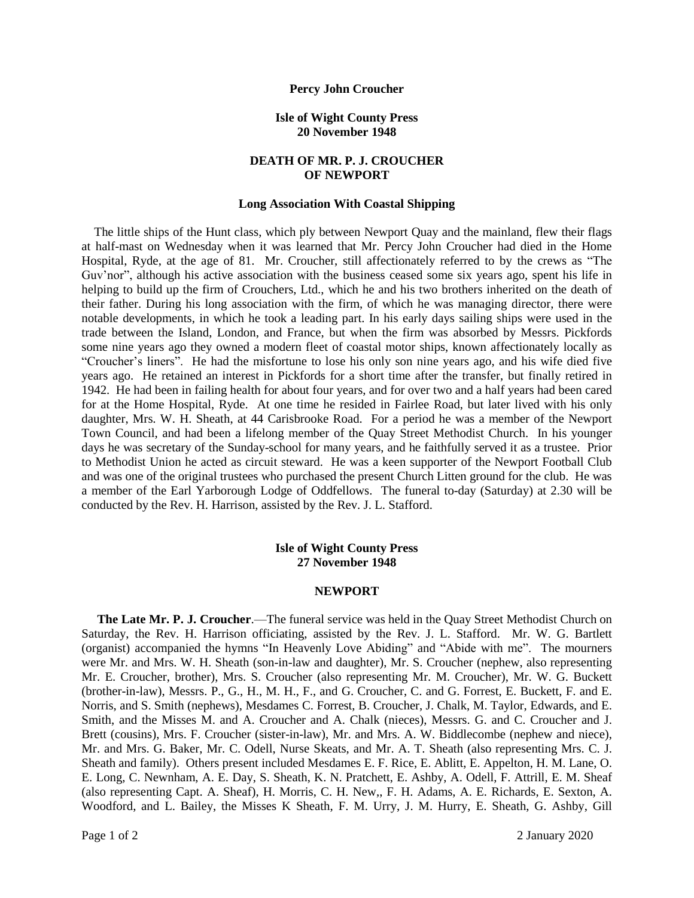### **Percy John Croucher**

## **Isle of Wight County Press 20 November 1948**

# **DEATH OF MR. P. J. CROUCHER OF NEWPORT**

### **Long Association With Coastal Shipping**

The little ships of the Hunt class, which ply between Newport Quay and the mainland, flew their flags at half-mast on Wednesday when it was learned that Mr. Percy John Croucher had died in the Home Hospital, Ryde, at the age of 81. Mr. Croucher, still affectionately referred to by the crews as "The Guv'nor", although his active association with the business ceased some six years ago, spent his life in helping to build up the firm of Crouchers, Ltd., which he and his two brothers inherited on the death of their father. During his long association with the firm, of which he was managing director, there were notable developments, in which he took a leading part. In his early days sailing ships were used in the trade between the Island, London, and France, but when the firm was absorbed by Messrs. Pickfords some nine years ago they owned a modern fleet of coastal motor ships, known affectionately locally as "Croucher's liners". He had the misfortune to lose his only son nine years ago, and his wife died five years ago. He retained an interest in Pickfords for a short time after the transfer, but finally retired in 1942. He had been in failing health for about four years, and for over two and a half years had been cared for at the Home Hospital, Ryde. At one time he resided in Fairlee Road, but later lived with his only daughter, Mrs. W. H. Sheath, at 44 Carisbrooke Road. For a period he was a member of the Newport Town Council, and had been a lifelong member of the Quay Street Methodist Church. In his younger days he was secretary of the Sunday-school for many years, and he faithfully served it as a trustee. Prior to Methodist Union he acted as circuit steward. He was a keen supporter of the Newport Football Club and was one of the original trustees who purchased the present Church Litten ground for the club. He was a member of the Earl Yarborough Lodge of Oddfellows. The funeral to-day (Saturday) at 2.30 will be conducted by the Rev. H. Harrison, assisted by the Rev. J. L. Stafford.

## **Isle of Wight County Press 27 November 1948**

#### **NEWPORT**

 **The Late Mr. P. J. Croucher**.—The funeral service was held in the Quay Street Methodist Church on Saturday, the Rev. H. Harrison officiating, assisted by the Rev. J. L. Stafford. Mr. W. G. Bartlett (organist) accompanied the hymns "In Heavenly Love Abiding" and "Abide with me". The mourners were Mr. and Mrs. W. H. Sheath (son-in-law and daughter), Mr. S. Croucher (nephew, also representing Mr. E. Croucher, brother), Mrs. S. Croucher (also representing Mr. M. Croucher), Mr. W. G. Buckett (brother-in-law), Messrs. P., G., H., M. H., F., and G. Croucher, C. and G. Forrest, E. Buckett, F. and E. Norris, and S. Smith (nephews), Mesdames C. Forrest, B. Croucher, J. Chalk, M. Taylor, Edwards, and E. Smith, and the Misses M. and A. Croucher and A. Chalk (nieces), Messrs. G. and C. Croucher and J. Brett (cousins), Mrs. F. Croucher (sister-in-law), Mr. and Mrs. A. W. Biddlecombe (nephew and niece), Mr. and Mrs. G. Baker, Mr. C. Odell, Nurse Skeats, and Mr. A. T. Sheath (also representing Mrs. C. J. Sheath and family). Others present included Mesdames E. F. Rice, E. Ablitt, E. Appelton, H. M. Lane, O. E. Long, C. Newnham, A. E. Day, S. Sheath, K. N. Pratchett, E. Ashby, A. Odell, F. Attrill, E. M. Sheaf (also representing Capt. A. Sheaf), H. Morris, C. H. New,, F. H. Adams, A. E. Richards, E. Sexton, A. Woodford, and L. Bailey, the Misses K Sheath, F. M. Urry, J. M. Hurry, E. Sheath, G. Ashby, Gill